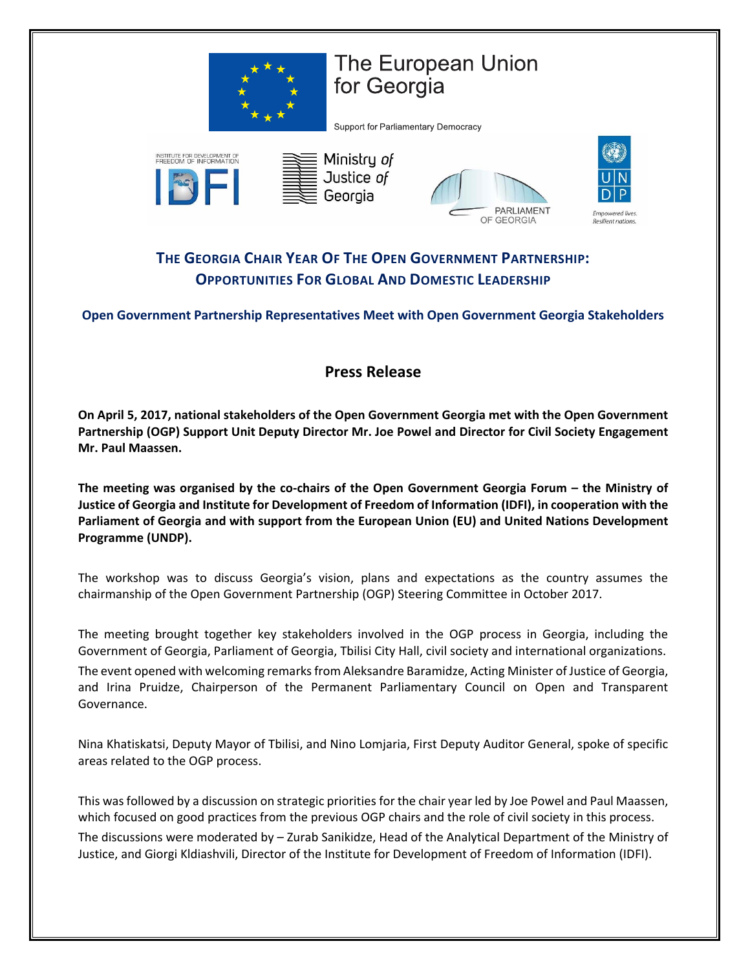

## **The European Union** for Georgia

Support for Parliamentary Democracy



## **THE GEORGIA CHAIR YEAR OF THE OPEN GOVERNMENT PARTNERSHIP: OPPORTUNITIES FOR GLOBAL AND DOMESTIC LEADERSHIP**

**Open Government Partnership Representatives Meet with Open Government Georgia Stakeholders**

## **Press Release**

**On April 5, 2017, national stakeholders of the Open Government Georgia met with the Open Government Partnership (OGP) Support Unit Deputy Director Mr. Joe Powel and Director for Civil Society Engagement Mr. Paul Maassen.** 

**The meeting was organised by the co-chairs of the Open Government Georgia Forum – the Ministry of Justice of Georgia and Institute for Development of Freedom of Information (IDFI), in cooperation with the Parliament of Georgia and with support from the European Union (EU) and United Nations Development Programme (UNDP).** 

The workshop was to discuss Georgia's vision, plans and expectations as the country assumes the chairmanship of the Open Government Partnership (OGP) Steering Committee in October 2017.

The meeting brought together key stakeholders involved in the OGP process in Georgia, including the Government of Georgia, Parliament of Georgia, Tbilisi City Hall, civil society and international organizations. The event opened with welcoming remarks from Aleksandre Baramidze, Acting Minister of Justice of Georgia, and Irina Pruidze, Chairperson of the Permanent Parliamentary Council on Open and Transparent Governance.

Nina Khatiskatsi, Deputy Mayor of Tbilisi, and Nino Lomjaria, First Deputy Auditor General, spoke of specific areas related to the OGP process.

This was followed by a discussion on strategic priorities for the chair year led by Joe Powel and Paul Maassen, which focused on good practices from the previous OGP chairs and the role of civil society in this process. The discussions were moderated by – Zurab Sanikidze, Head of the Analytical Department of the Ministry of Justice, and Giorgi Kldiashvili, Director of the Institute for Development of Freedom of Information (IDFI).